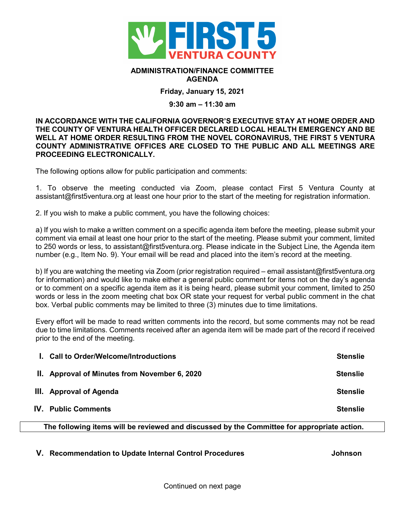

## **ADMINISTRATION/FINANCE COMMITTEE AGENDA**

**Friday, January 15, 2021**

## **9:30 am – 11:30 am**

**IN ACCORDANCE WITH THE CALIFORNIA GOVERNOR'S EXECUTIVE STAY AT HOME ORDER AND THE COUNTY OF VENTURA HEALTH OFFICER DECLARED LOCAL HEALTH EMERGENCY AND BE WELL AT HOME ORDER RESULTING FROM THE NOVEL CORONAVIRUS, THE FIRST 5 VENTURA COUNTY ADMINISTRATIVE OFFICES ARE CLOSED TO THE PUBLIC AND ALL MEETINGS ARE PROCEEDING ELECTRONICALLY.** 

The following options allow for public participation and comments:

1. To observe the meeting conducted via Zoom, please contact First 5 Ventura County at assistant@first5ventura.org at least one hour prior to the start of the meeting for registration information.

2. If you wish to make a public comment, you have the following choices:

a) If you wish to make a written comment on a specific agenda item before the meeting, please submit your comment via email at least one hour prior to the start of the meeting. Please submit your comment, limited to 250 words or less, to assistant@first5ventura.org. Please indicate in the Subject Line, the Agenda item number (e.g., Item No. 9). Your email will be read and placed into the item's record at the meeting.

b) If you are watching the meeting via Zoom (prior registration required – email assistant@first5ventura.org for information) and would like to make either a general public comment for items not on the day's agenda or to comment on a specific agenda item as it is being heard, please submit your comment, limited to 250 words or less in the zoom meeting chat box OR state your request for verbal public comment in the chat box. Verbal public comments may be limited to three (3) minutes due to time limitations.

Every effort will be made to read written comments into the record, but some comments may not be read due to time limitations. Comments received after an agenda item will be made part of the record if received prior to the end of the meeting.

| I. Call to Order/Welcome/Introductions        | <b>Stenslie</b> |
|-----------------------------------------------|-----------------|
| II. Approval of Minutes from November 6, 2020 | <b>Stenslie</b> |
| III. Approval of Agenda                       | <b>Stenslie</b> |
| <b>IV.</b> Public Comments                    | <b>Stenslie</b> |
|                                               |                 |

**The following items will be reviewed and discussed by the Committee for appropriate action.**

**V. Recommendation to Update Internal Control Procedures Johnson**